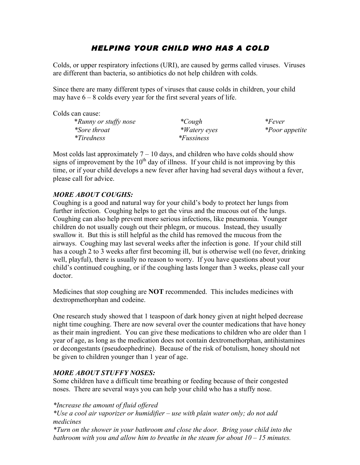# HELPING YOUR CHILD WHO HAS A COLD

Colds, or upper respiratory infections (URI), are caused by germs called viruses. Viruses are different than bacteria, so antibiotics do not help children with colds.

Since there are many different types of viruses that cause colds in children, your child may have  $6 - 8$  colds every year for the first several years of life.

Colds can cause:

\**Runny or stuffy nose \*Cough \*Fever \*Sore throat \*Watery eyes \*Poor appetite \*Tiredness \*Fussiness*

Most colds last approximately  $7 - 10$  days, and children who have colds should show signs of improvement by the  $10<sup>th</sup>$  day of illness. If your child is not improving by this time, or if your child develops a new fever after having had several days without a fever, please call for advice.

## *MORE ABOUT COUGHS:*

Coughing is a good and natural way for your child's body to protect her lungs from further infection. Coughing helps to get the virus and the mucous out of the lungs. Coughing can also help prevent more serious infections, like pneumonia. Younger children do not usually cough out their phlegm, or mucous. Instead, they usually swallow it. But this is still helpful as the child has removed the mucous from the airways. Coughing may last several weeks after the infection is gone. If your child still has a cough 2 to 3 weeks after first becoming ill, but is otherwise well (no fever, drinking well, playful), there is usually no reason to worry. If you have questions about your child's continued coughing, or if the coughing lasts longer than 3 weeks, please call your doctor.

Medicines that stop coughing are **NOT** recommended. This includes medicines with dextropmethorphan and codeine.

One research study showed that 1 teaspoon of dark honey given at night helped decrease night time coughing. There are now several over the counter medications that have honey as their main ingredient. You can give these medications to children who are older than 1 year of age, as long as the medication does not contain dextromethorphan, antihistamines or decongestants (pseudoephedrine). Because of the risk of botulism, honey should not be given to children younger than 1 year of age.

## *MORE ABOUT STUFFY NOSES:*

Some children have a difficult time breathing or feeding because of their congested noses. There are several ways you can help your child who has a stuffy nose.

*\*Increase the amount of fluid offered*

*\*Use a cool air vaporizer or humidifier – use with plain water only; do not add medicines*

*\*Turn on the shower in your bathroom and close the door. Bring your child into the bathroom with you and allow him to breathe in the steam for about 10 – 15 minutes.*